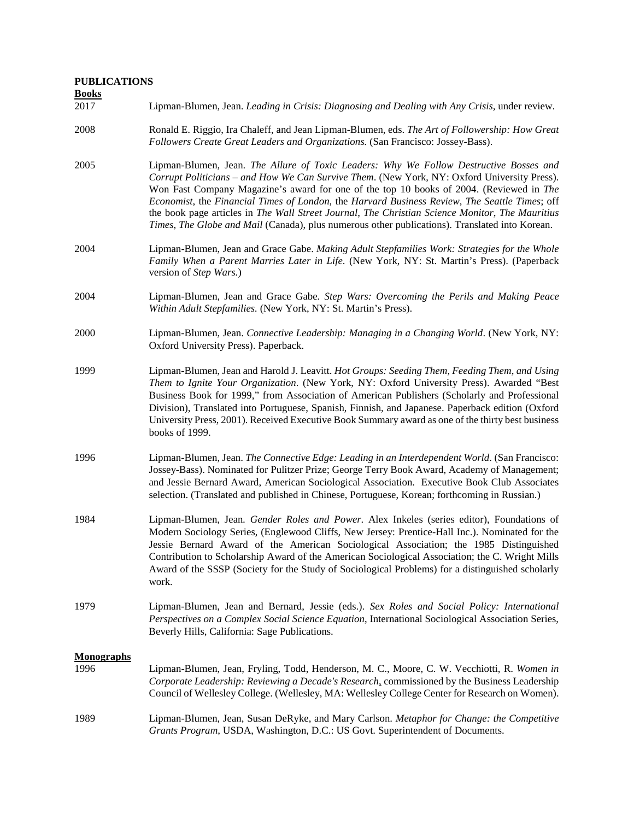## **PUBLICATIONS**

**Books**

## 2017 Lipman-Blumen, Jean. *Leading in Crisis: Diagnosing and Dealing with Any Crisis,* under review.

- 2008 Ronald E. Riggio, Ira Chaleff, and Jean Lipman-Blumen, eds. *The Art of Followership: How Great Followers Create Great Leaders and Organizations.* (San Francisco: Jossey-Bass).
- 2005 Lipman-Blumen, Jean. *The Allure of Toxic Leaders: Why We Follow Destructive Bosses and Corrupt Politicians – and How We Can Survive Them*. (New York, NY: Oxford University Press). Won Fast Company Magazine's award for one of the top 10 books of 2004. (Reviewed in *The Economist*, the *Financial Times of London*, the *Harvard Business Review*, *The Seattle Times*; off the book page articles in *The Wall Street Journal*, *The Christian Science Monitor*, *The Mauritius Times*, *The Globe and Mail* (Canada), plus numerous other publications). Translated into Korean.
- 2004 Lipman-Blumen, Jean and Grace Gabe. *Making Adult Stepfamilies Work: Strategies for the Whole Family When a Parent Marries Later in Life*. (New York, NY: St. Martin's Press). (Paperback version of *Step Wars.*)
- 2004 Lipman-Blumen, Jean and Grace Gabe*. Step Wars: Overcoming the Perils and Making Peace Within Adult Stepfamilies.* (New York, NY: St. Martin's Press).
- 2000 Lipman-Blumen, Jean. *Connective Leadership: Managing in a Changing World*. (New York, NY: Oxford University Press). Paperback.
- 1999 Lipman-Blumen, Jean and Harold J. Leavitt. *Hot Groups: Seeding Them, Feeding Them, and Using Them to Ignite Your Organization*. (New York, NY: Oxford University Press). Awarded "Best Business Book for 1999," from Association of American Publishers (Scholarly and Professional Division), Translated into Portuguese, Spanish, Finnish, and Japanese. Paperback edition (Oxford University Press, 2001). Received Executive Book Summary award as one of the thirty best business books of 1999.
- 1996 Lipman-Blumen, Jean. *The Connective Edge: Leading in an Interdependent World*. (San Francisco: Jossey-Bass). Nominated for Pulitzer Prize; George Terry Book Award, Academy of Management; and Jessie Bernard Award, American Sociological Association. Executive Book Club Associates selection. (Translated and published in Chinese, Portuguese, Korean; forthcoming in Russian.)
- 1984 Lipman-Blumen, Jean*. Gender Roles and Power*. Alex Inkeles (series editor), Foundations of Modern Sociology Series, (Englewood Cliffs, New Jersey: Prentice-Hall Inc.). Nominated for the Jessie Bernard Award of the American Sociological Association; the 1985 Distinguished Contribution to Scholarship Award of the American Sociological Association; the C. Wright Mills Award of the SSSP (Society for the Study of Sociological Problems) for a distinguished scholarly work.
- 1979 Lipman-Blumen, Jean and Bernard, Jessie (eds.). *Sex Roles and Social Policy: International Perspectives on a Complex Social Science Equation*, International Sociological Association Series, Beverly Hills, California: Sage Publications.

## **Monographs**

| 1996 | Lipman-Blumen, Jean, Fryling, Todd, Henderson, M. C., Moore, C. W. Vecchiotti, R. Women in       |
|------|--------------------------------------------------------------------------------------------------|
|      | Corporate Leadership: Reviewing a Decade's Research, commissioned by the Business Leadership     |
|      | Council of Wellesley College. (Wellesley, MA: Wellesley College Center for Research on Women).   |
| 1989 | Lipman-Blumen, Jean, Susan DeRyke, and Mary Carlson. <i>Metaphor for Change: the Competitive</i> |
|      | Grants Program, USDA, Washington, D.C.: US Govt. Superintendent of Documents.                    |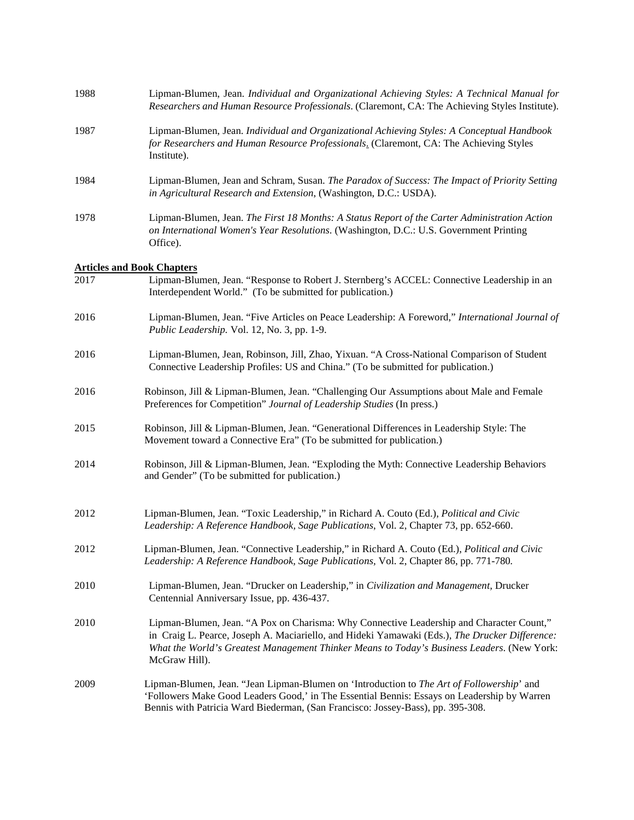| 1988 | Lipman-Blumen, Jean. Individual and Organizational Achieving Styles: A Technical Manual for<br>Researchers and Human Resource Professionals. (Claremont, CA: The Achieving Styles Institute).                                                                                                             |
|------|-----------------------------------------------------------------------------------------------------------------------------------------------------------------------------------------------------------------------------------------------------------------------------------------------------------|
| 1987 | Lipman-Blumen, Jean. Individual and Organizational Achieving Styles: A Conceptual Handbook<br>for Researchers and Human Resource Professionals. (Claremont, CA: The Achieving Styles<br>Institute).                                                                                                       |
| 1984 | Lipman-Blumen, Jean and Schram, Susan. The Paradox of Success: The Impact of Priority Setting<br>in Agricultural Research and Extension, (Washington, D.C.: USDA).                                                                                                                                        |
| 1978 | Lipman-Blumen, Jean. The First 18 Months: A Status Report of the Carter Administration Action<br>on International Women's Year Resolutions. (Washington, D.C.: U.S. Government Printing<br>Office).                                                                                                       |
|      | <b>Articles and Book Chapters</b>                                                                                                                                                                                                                                                                         |
| 2017 | Lipman-Blumen, Jean. "Response to Robert J. Sternberg's ACCEL: Connective Leadership in an<br>Interdependent World." (To be submitted for publication.)                                                                                                                                                   |
| 2016 | Lipman-Blumen, Jean. "Five Articles on Peace Leadership: A Foreword," International Journal of<br>Public Leadership. Vol. 12, No. 3, pp. 1-9.                                                                                                                                                             |
| 2016 | Lipman-Blumen, Jean, Robinson, Jill, Zhao, Yixuan. "A Cross-National Comparison of Student<br>Connective Leadership Profiles: US and China." (To be submitted for publication.)                                                                                                                           |
| 2016 | Robinson, Jill & Lipman-Blumen, Jean. "Challenging Our Assumptions about Male and Female<br>Preferences for Competition" Journal of Leadership Studies (In press.)                                                                                                                                        |
| 2015 | Robinson, Jill & Lipman-Blumen, Jean. "Generational Differences in Leadership Style: The<br>Movement toward a Connective Era" (To be submitted for publication.)                                                                                                                                          |
| 2014 | Robinson, Jill & Lipman-Blumen, Jean. "Exploding the Myth: Connective Leadership Behaviors<br>and Gender" (To be submitted for publication.)                                                                                                                                                              |
| 2012 | Lipman-Blumen, Jean. "Toxic Leadership," in Richard A. Couto (Ed.), Political and Civic<br>Leadership: A Reference Handbook, Sage Publications, Vol. 2, Chapter 73, pp. 652-660.                                                                                                                          |
| 2012 | Lipman-Blumen, Jean. "Connective Leadership," in Richard A. Couto (Ed.), Political and Civic<br>Leadership: A Reference Handbook, Sage Publications, Vol. 2, Chapter 86, pp. 771-780.                                                                                                                     |
| 2010 | Lipman-Blumen, Jean. "Drucker on Leadership," in Civilization and Management, Drucker<br>Centennial Anniversary Issue, pp. 436-437.                                                                                                                                                                       |
| 2010 | Lipman-Blumen, Jean. "A Pox on Charisma: Why Connective Leadership and Character Count,"<br>in Craig L. Pearce, Joseph A. Maciariello, and Hideki Yamawaki (Eds.), The Drucker Difference:<br>What the World's Greatest Management Thinker Means to Today's Business Leaders. (New York:<br>McGraw Hill). |
| 2009 | Lipman-Blumen, Jean. "Jean Lipman-Blumen on 'Introduction to The Art of Followership' and<br>'Followers Make Good Leaders Good,' in The Essential Bennis: Essays on Leadership by Warren<br>Bennis with Patricia Ward Biederman, (San Francisco: Jossey-Bass), pp. 395-308.                               |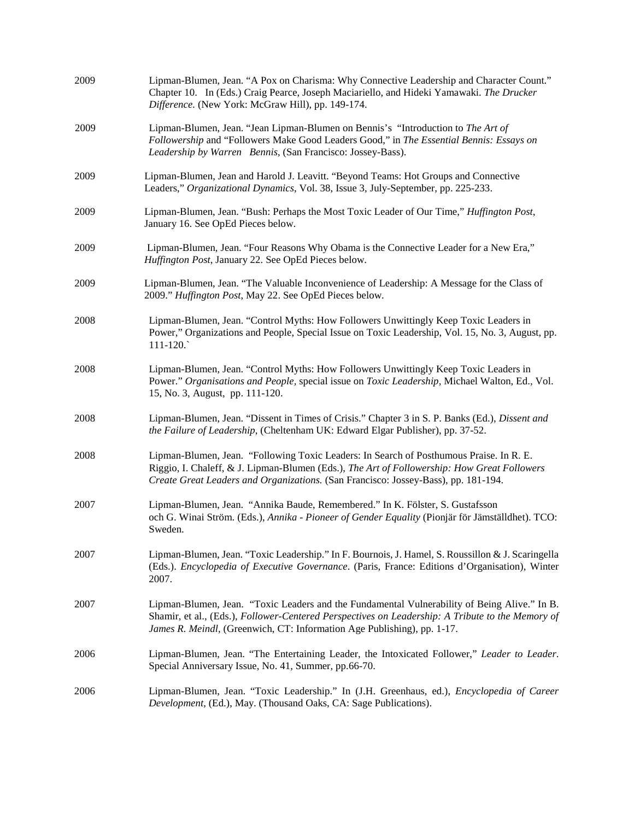| 2009 | Lipman-Blumen, Jean. "A Pox on Charisma: Why Connective Leadership and Character Count."<br>Chapter 10. In (Eds.) Craig Pearce, Joseph Maciariello, and Hideki Yamawaki. The Drucker<br>Difference. (New York: McGraw Hill), pp. 149-174.                                    |
|------|------------------------------------------------------------------------------------------------------------------------------------------------------------------------------------------------------------------------------------------------------------------------------|
| 2009 | Lipman-Blumen, Jean. "Jean Lipman-Blumen on Bennis's "Introduction to The Art of<br>Followership and "Followers Make Good Leaders Good," in The Essential Bennis: Essays on<br>Leadership by Warren Bennis, (San Francisco: Jossey-Bass).                                    |
| 2009 | Lipman-Blumen, Jean and Harold J. Leavitt. "Beyond Teams: Hot Groups and Connective<br>Leaders," Organizational Dynamics, Vol. 38, Issue 3, July-September, pp. 225-233.                                                                                                     |
| 2009 | Lipman-Blumen, Jean. "Bush: Perhaps the Most Toxic Leader of Our Time," <i>Huffington Post</i> ,<br>January 16. See OpEd Pieces below.                                                                                                                                       |
| 2009 | Lipman-Blumen, Jean. "Four Reasons Why Obama is the Connective Leader for a New Era,"<br>Huffington Post, January 22. See OpEd Pieces below.                                                                                                                                 |
| 2009 | Lipman-Blumen, Jean. "The Valuable Inconvenience of Leadership: A Message for the Class of<br>2009." Huffington Post, May 22. See OpEd Pieces below.                                                                                                                         |
| 2008 | Lipman-Blumen, Jean. "Control Myths: How Followers Unwittingly Keep Toxic Leaders in<br>Power," Organizations and People, Special Issue on Toxic Leadership, Vol. 15, No. 3, August, pp.<br>$111 - 120.$                                                                     |
| 2008 | Lipman-Blumen, Jean. "Control Myths: How Followers Unwittingly Keep Toxic Leaders in<br>Power." Organisations and People, special issue on Toxic Leadership, Michael Walton, Ed., Vol.<br>15, No. 3, August, pp. 111-120.                                                    |
| 2008 | Lipman-Blumen, Jean. "Dissent in Times of Crisis." Chapter 3 in S. P. Banks (Ed.), Dissent and<br>the Failure of Leadership, (Cheltenham UK: Edward Elgar Publisher), pp. 37-52.                                                                                             |
| 2008 | Lipman-Blumen, Jean. "Following Toxic Leaders: In Search of Posthumous Praise. In R. E.<br>Riggio, I. Chaleff, & J. Lipman-Blumen (Eds.), The Art of Followership: How Great Followers<br>Create Great Leaders and Organizations. (San Francisco: Jossey-Bass), pp. 181-194. |
| 2007 | Lipman-Blumen, Jean. "Annika Baude, Remembered." In K. Fölster, S. Gustafsson<br>och G. Winai Ström. (Eds.), Annika - Pioneer of Gender Equality (Pionjär för Jämställdhet). TCO:<br>Sweden.                                                                                 |
| 2007 | Lipman-Blumen, Jean. "Toxic Leadership." In F. Bournois, J. Hamel, S. Roussillon & J. Scaringella<br>(Eds.). <i>Encyclopedia of Executive Governance</i> . (Paris, France: Editions d'Organisation), Winter<br>2007.                                                         |
| 2007 | Lipman-Blumen, Jean. "Toxic Leaders and the Fundamental Vulnerability of Being Alive." In B.<br>Shamir, et al., (Eds.), Follower-Centered Perspectives on Leadership: A Tribute to the Memory of<br>James R. Meindl, (Greenwich, CT: Information Age Publishing), pp. 1-17.  |
| 2006 | Lipman-Blumen, Jean. "The Entertaining Leader, the Intoxicated Follower," Leader to Leader.<br>Special Anniversary Issue, No. 41, Summer, pp.66-70.                                                                                                                          |
| 2006 | Lipman-Blumen, Jean. "Toxic Leadership." In (J.H. Greenhaus, ed.), <i>Encyclopedia of Career</i><br>Development, (Ed.), May. (Thousand Oaks, CA: Sage Publications).                                                                                                         |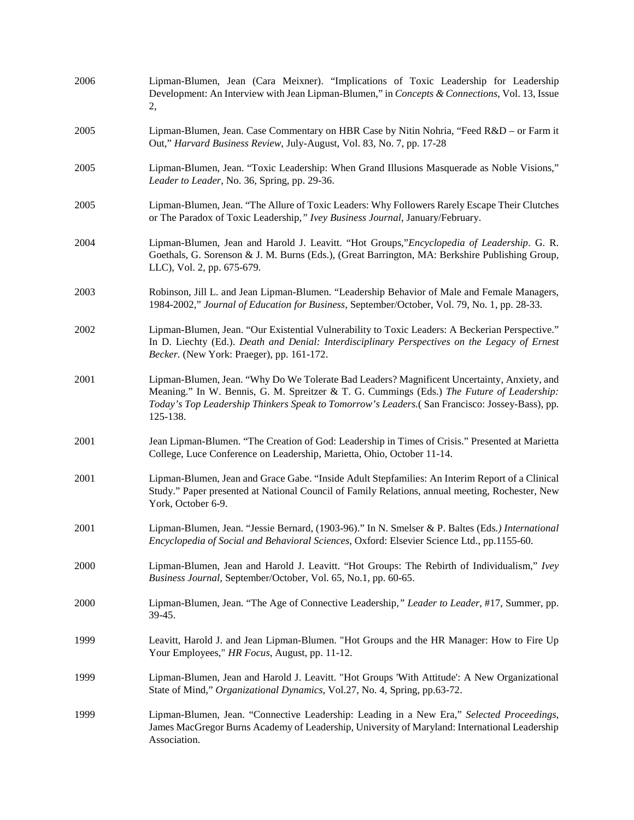| 2006 | Lipman-Blumen, Jean (Cara Meixner). "Implications of Toxic Leadership for Leadership<br>Development: An Interview with Jean Lipman-Blumen," in Concepts & Connections, Vol. 13, Issue<br>2,                                                                                                           |
|------|-------------------------------------------------------------------------------------------------------------------------------------------------------------------------------------------------------------------------------------------------------------------------------------------------------|
| 2005 | Lipman-Blumen, Jean. Case Commentary on HBR Case by Nitin Nohria, "Feed R&D – or Farm it<br>Out," Harvard Business Review, July-August, Vol. 83, No. 7, pp. 17-28                                                                                                                                     |
| 2005 | Lipman-Blumen, Jean. "Toxic Leadership: When Grand Illusions Masquerade as Noble Visions,"<br>Leader to Leader, No. 36, Spring, pp. 29-36.                                                                                                                                                            |
| 2005 | Lipman-Blumen, Jean. "The Allure of Toxic Leaders: Why Followers Rarely Escape Their Clutches<br>or The Paradox of Toxic Leadership," Ivey Business Journal, January/February.                                                                                                                        |
| 2004 | Lipman-Blumen, Jean and Harold J. Leavitt. "Hot Groups,"Encyclopedia of Leadership. G. R.<br>Goethals, G. Sorenson & J. M. Burns (Eds.), (Great Barrington, MA: Berkshire Publishing Group,<br>LLC), Vol. 2, pp. 675-679.                                                                             |
| 2003 | Robinson, Jill L. and Jean Lipman-Blumen. "Leadership Behavior of Male and Female Managers,<br>1984-2002," Journal of Education for Business, September/October, Vol. 79, No. 1, pp. 28-33.                                                                                                           |
| 2002 | Lipman-Blumen, Jean. "Our Existential Vulnerability to Toxic Leaders: A Beckerian Perspective."<br>In D. Liechty (Ed.). Death and Denial: Interdisciplinary Perspectives on the Legacy of Ernest<br>Becker. (New York: Praeger), pp. 161-172.                                                         |
| 2001 | Lipman-Blumen, Jean. "Why Do We Tolerate Bad Leaders? Magnificent Uncertainty, Anxiety, and<br>Meaning." In W. Bennis, G. M. Spreitzer & T. G. Cummings (Eds.) The Future of Leadership:<br>Today's Top Leadership Thinkers Speak to Tomorrow's Leaders.(San Francisco: Jossey-Bass), pp.<br>125-138. |
| 2001 | Jean Lipman-Blumen. "The Creation of God: Leadership in Times of Crisis." Presented at Marietta<br>College, Luce Conference on Leadership, Marietta, Ohio, October 11-14.                                                                                                                             |
| 2001 | Lipman-Blumen, Jean and Grace Gabe. "Inside Adult Stepfamilies: An Interim Report of a Clinical<br>Study." Paper presented at National Council of Family Relations, annual meeting, Rochester, New<br>York, October 6-9.                                                                              |
| 2001 | Lipman-Blumen, Jean. "Jessie Bernard, (1903-96)." In N. Smelser & P. Baltes (Eds.) International<br>Encyclopedia of Social and Behavioral Sciences, Oxford: Elsevier Science Ltd., pp.1155-60.                                                                                                        |
| 2000 | Lipman-Blumen, Jean and Harold J. Leavitt. "Hot Groups: The Rebirth of Individualism," Ivey<br>Business Journal, September/October, Vol. 65, No.1, pp. 60-65.                                                                                                                                         |
| 2000 | Lipman-Blumen, Jean. "The Age of Connective Leadership," Leader to Leader, #17, Summer, pp.<br>39-45.                                                                                                                                                                                                 |
| 1999 | Leavitt, Harold J. and Jean Lipman-Blumen. "Hot Groups and the HR Manager: How to Fire Up<br>Your Employees," HR Focus, August, pp. 11-12.                                                                                                                                                            |
| 1999 | Lipman-Blumen, Jean and Harold J. Leavitt. "Hot Groups 'With Attitude': A New Organizational<br>State of Mind," Organizational Dynamics, Vol.27, No. 4, Spring, pp.63-72.                                                                                                                             |
| 1999 | Lipman-Blumen, Jean. "Connective Leadership: Leading in a New Era," Selected Proceedings,<br>James MacGregor Burns Academy of Leadership, University of Maryland: International Leadership<br>Association.                                                                                            |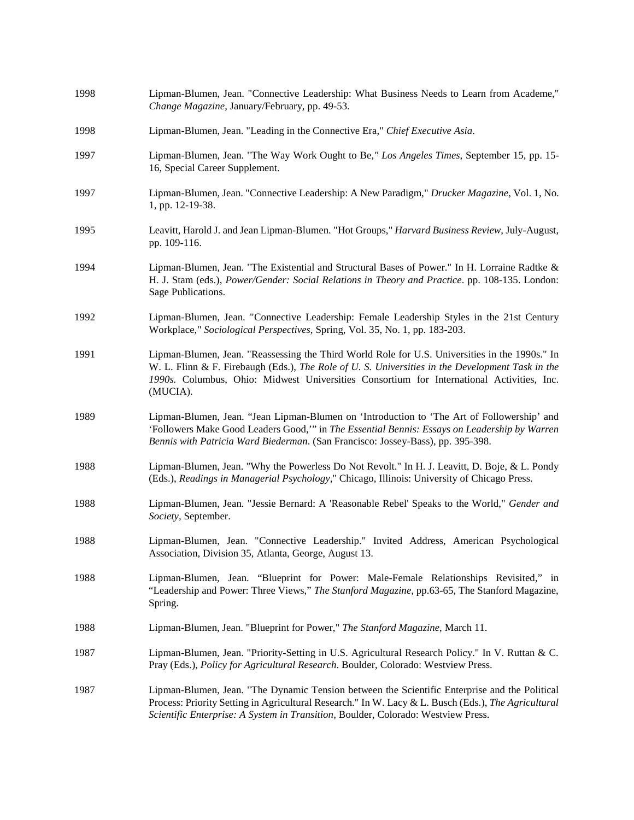| 1998 | Lipman-Blumen, Jean. "Connective Leadership: What Business Needs to Learn from Academe,"<br>Change Magazine, January/February, pp. 49-53.                                                                                                                                                                   |
|------|-------------------------------------------------------------------------------------------------------------------------------------------------------------------------------------------------------------------------------------------------------------------------------------------------------------|
| 1998 | Lipman-Blumen, Jean. "Leading in the Connective Era," Chief Executive Asia.                                                                                                                                                                                                                                 |
| 1997 | Lipman-Blumen, Jean. "The Way Work Ought to Be," Los Angeles Times, September 15, pp. 15-<br>16, Special Career Supplement.                                                                                                                                                                                 |
| 1997 | Lipman-Blumen, Jean. "Connective Leadership: A New Paradigm," Drucker Magazine, Vol. 1, No.<br>1, pp. 12-19-38.                                                                                                                                                                                             |
| 1995 | Leavitt, Harold J. and Jean Lipman-Blumen. "Hot Groups," Harvard Business Review, July-August,<br>pp. 109-116.                                                                                                                                                                                              |
| 1994 | Lipman-Blumen, Jean. "The Existential and Structural Bases of Power." In H. Lorraine Radtke &<br>H. J. Stam (eds.), Power/Gender: Social Relations in Theory and Practice. pp. 108-135. London:<br>Sage Publications.                                                                                       |
| 1992 | Lipman-Blumen, Jean. "Connective Leadership: Female Leadership Styles in the 21st Century<br>Workplace," Sociological Perspectives, Spring, Vol. 35, No. 1, pp. 183-203.                                                                                                                                    |
| 1991 | Lipman-Blumen, Jean. "Reassessing the Third World Role for U.S. Universities in the 1990s." In<br>W. L. Flinn & F. Firebaugh (Eds.), The Role of U. S. Universities in the Development Task in the<br>1990s. Columbus, Ohio: Midwest Universities Consortium for International Activities, Inc.<br>(MUCIA). |
| 1989 | Lipman-Blumen, Jean. "Jean Lipman-Blumen on 'Introduction to 'The Art of Followership' and<br>'Followers Make Good Leaders Good," in The Essential Bennis: Essays on Leadership by Warren<br>Bennis with Patricia Ward Biederman. (San Francisco: Jossey-Bass), pp. 395-398.                                |
| 1988 | Lipman-Blumen, Jean. "Why the Powerless Do Not Revolt." In H. J. Leavitt, D. Boje, & L. Pondy<br>(Eds.), Readings in Managerial Psychology," Chicago, Illinois: University of Chicago Press.                                                                                                                |
| 1988 | Lipman-Blumen, Jean. "Jessie Bernard: A 'Reasonable Rebel' Speaks to the World," Gender and<br>Society, September.                                                                                                                                                                                          |
| 1988 | Lipman-Blumen, Jean. "Connective Leadership." Invited Address, American Psychological<br>Association, Division 35, Atlanta, George, August 13.                                                                                                                                                              |
| 1988 | Lipman-Blumen, Jean. "Blueprint for Power: Male-Female Relationships Revisited," in<br>"Leadership and Power: Three Views," The Stanford Magazine, pp.63-65, The Stanford Magazine,<br>Spring.                                                                                                              |
| 1988 | Lipman-Blumen, Jean. "Blueprint for Power," The Stanford Magazine, March 11.                                                                                                                                                                                                                                |
| 1987 | Lipman-Blumen, Jean. "Priority-Setting in U.S. Agricultural Research Policy." In V. Ruttan & C.<br>Pray (Eds.), Policy for Agricultural Research. Boulder, Colorado: Westview Press.                                                                                                                        |
| 1987 | Lipman-Blumen, Jean. "The Dynamic Tension between the Scientific Enterprise and the Political<br>Process: Priority Setting in Agricultural Research." In W. Lacy & L. Busch (Eds.), The Agricultural<br>Scientific Enterprise: A System in Transition, Boulder, Colorado: Westview Press.                   |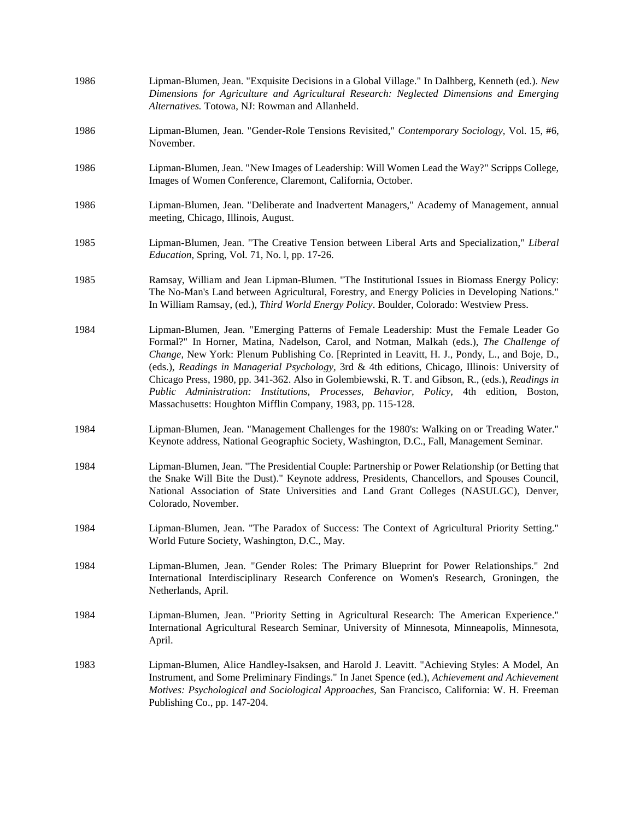| 1986 | Lipman-Blumen, Jean. "Exquisite Decisions in a Global Village." In Dalhberg, Kenneth (ed.). New<br>Dimensions for Agriculture and Agricultural Research: Neglected Dimensions and Emerging<br>Alternatives. Totowa, NJ: Rowman and Allanheld.                                                                                                                                                                                                                                                                                                                                                                                                          |
|------|--------------------------------------------------------------------------------------------------------------------------------------------------------------------------------------------------------------------------------------------------------------------------------------------------------------------------------------------------------------------------------------------------------------------------------------------------------------------------------------------------------------------------------------------------------------------------------------------------------------------------------------------------------|
| 1986 | Lipman-Blumen, Jean. "Gender-Role Tensions Revisited," Contemporary Sociology, Vol. 15, #6,<br>November.                                                                                                                                                                                                                                                                                                                                                                                                                                                                                                                                               |
| 1986 | Lipman-Blumen, Jean. "New Images of Leadership: Will Women Lead the Way?" Scripps College,<br>Images of Women Conference, Claremont, California, October.                                                                                                                                                                                                                                                                                                                                                                                                                                                                                              |
| 1986 | Lipman-Blumen, Jean. "Deliberate and Inadvertent Managers," Academy of Management, annual<br>meeting, Chicago, Illinois, August.                                                                                                                                                                                                                                                                                                                                                                                                                                                                                                                       |
| 1985 | Lipman-Blumen, Jean. "The Creative Tension between Liberal Arts and Specialization," Liberal<br>Education, Spring, Vol. 71, No. 1, pp. 17-26.                                                                                                                                                                                                                                                                                                                                                                                                                                                                                                          |
| 1985 | Ramsay, William and Jean Lipman-Blumen. "The Institutional Issues in Biomass Energy Policy:<br>The No-Man's Land between Agricultural, Forestry, and Energy Policies in Developing Nations."<br>In William Ramsay, (ed.), Third World Energy Policy. Boulder, Colorado: Westview Press.                                                                                                                                                                                                                                                                                                                                                                |
| 1984 | Lipman-Blumen, Jean. "Emerging Patterns of Female Leadership: Must the Female Leader Go<br>Formal?" In Horner, Matina, Nadelson, Carol, and Notman, Malkah (eds.), The Challenge of<br>Change, New York: Plenum Publishing Co. [Reprinted in Leavitt, H. J., Pondy, L., and Boje, D.,<br>(eds.), Readings in Managerial Psychology, 3rd & 4th editions, Chicago, Illinois: University of<br>Chicago Press, 1980, pp. 341-362. Also in Golembiewski, R. T. and Gibson, R., (eds.), Readings in<br>Public Administration: Institutions, Processes, Behavior, Policy, 4th edition, Boston,<br>Massachusetts: Houghton Mifflin Company, 1983, pp. 115-128. |
| 1984 | Lipman-Blumen, Jean. "Management Challenges for the 1980's: Walking on or Treading Water."<br>Keynote address, National Geographic Society, Washington, D.C., Fall, Management Seminar.                                                                                                                                                                                                                                                                                                                                                                                                                                                                |
| 1984 | Lipman-Blumen, Jean. "The Presidential Couple: Partnership or Power Relationship (or Betting that<br>the Snake Will Bite the Dust)." Keynote address, Presidents, Chancellors, and Spouses Council,<br>National Association of State Universities and Land Grant Colleges (NASULGC), Denver,<br>Colorado, November.                                                                                                                                                                                                                                                                                                                                    |
| 1984 | Lipman-Blumen, Jean. "The Paradox of Success: The Context of Agricultural Priority Setting."<br>World Future Society, Washington, D.C., May.                                                                                                                                                                                                                                                                                                                                                                                                                                                                                                           |
| 1984 | Lipman-Blumen, Jean. "Gender Roles: The Primary Blueprint for Power Relationships." 2nd<br>International Interdisciplinary Research Conference on Women's Research, Groningen, the<br>Netherlands, April.                                                                                                                                                                                                                                                                                                                                                                                                                                              |
| 1984 | Lipman-Blumen, Jean. "Priority Setting in Agricultural Research: The American Experience."<br>International Agricultural Research Seminar, University of Minnesota, Minneapolis, Minnesota,<br>April.                                                                                                                                                                                                                                                                                                                                                                                                                                                  |
| 1983 | Lipman-Blumen, Alice Handley-Isaksen, and Harold J. Leavitt. "Achieving Styles: A Model, An<br>Instrument, and Some Preliminary Findings." In Janet Spence (ed.), Achievement and Achievement<br>Motives: Psychological and Sociological Approaches, San Francisco, California: W. H. Freeman<br>Publishing Co., pp. 147-204.                                                                                                                                                                                                                                                                                                                          |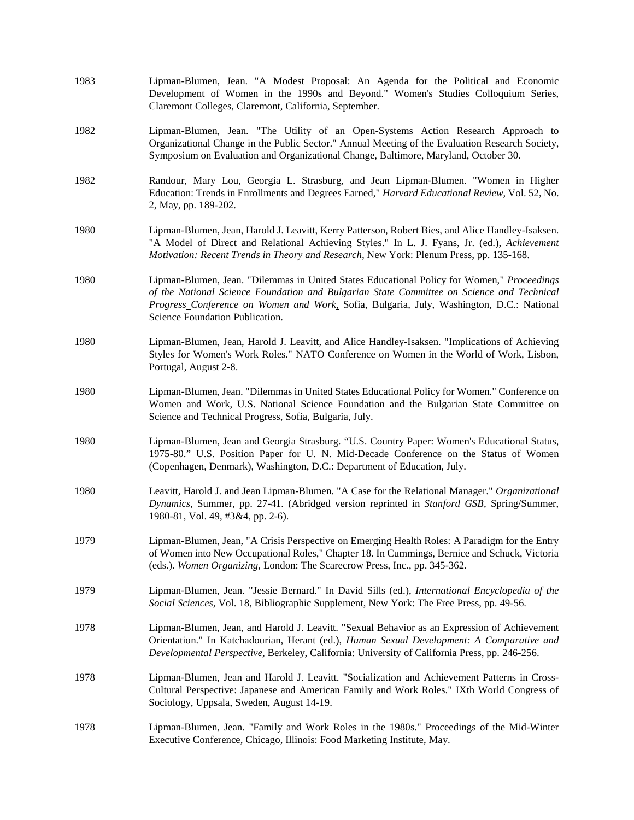| 1983 | Lipman-Blumen, Jean. "A Modest Proposal: An Agenda for the Political and Economic<br>Development of Women in the 1990s and Beyond." Women's Studies Colloquium Series,<br>Claremont Colleges, Claremont, California, September.                                                                                        |
|------|------------------------------------------------------------------------------------------------------------------------------------------------------------------------------------------------------------------------------------------------------------------------------------------------------------------------|
| 1982 | Lipman-Blumen, Jean. "The Utility of an Open-Systems Action Research Approach to<br>Organizational Change in the Public Sector." Annual Meeting of the Evaluation Research Society,<br>Symposium on Evaluation and Organizational Change, Baltimore, Maryland, October 30.                                             |
| 1982 | Randour, Mary Lou, Georgia L. Strasburg, and Jean Lipman-Blumen. "Women in Higher<br>Education: Trends in Enrollments and Degrees Earned," Harvard Educational Review, Vol. 52, No.<br>2, May, pp. 189-202.                                                                                                            |
| 1980 | Lipman-Blumen, Jean, Harold J. Leavitt, Kerry Patterson, Robert Bies, and Alice Handley-Isaksen.<br>"A Model of Direct and Relational Achieving Styles." In L. J. Fyans, Jr. (ed.), Achievement<br>Motivation: Recent Trends in Theory and Research, New York: Plenum Press, pp. 135-168.                              |
| 1980 | Lipman-Blumen, Jean. "Dilemmas in United States Educational Policy for Women," Proceedings<br>of the National Science Foundation and Bulgarian State Committee on Science and Technical<br>Progress_Conference on Women and Work, Sofia, Bulgaria, July, Washington, D.C.: National<br>Science Foundation Publication. |
| 1980 | Lipman-Blumen, Jean, Harold J. Leavitt, and Alice Handley-Isaksen. "Implications of Achieving<br>Styles for Women's Work Roles." NATO Conference on Women in the World of Work, Lisbon,<br>Portugal, August 2-8.                                                                                                       |
| 1980 | Lipman-Blumen, Jean. "Dilemmas in United States Educational Policy for Women." Conference on<br>Women and Work, U.S. National Science Foundation and the Bulgarian State Committee on<br>Science and Technical Progress, Sofia, Bulgaria, July.                                                                        |
| 1980 | Lipman-Blumen, Jean and Georgia Strasburg. "U.S. Country Paper: Women's Educational Status,<br>1975-80." U.S. Position Paper for U. N. Mid-Decade Conference on the Status of Women<br>(Copenhagen, Denmark), Washington, D.C.: Department of Education, July.                                                         |
| 1980 | Leavitt, Harold J. and Jean Lipman-Blumen. "A Case for the Relational Manager." Organizational<br>Dynamics, Summer, pp. 27-41. (Abridged version reprinted in Stanford GSB, Spring/Summer,<br>1980-81, Vol. 49, #3&4, pp. 2-6).                                                                                        |
| 1979 | Lipman-Blumen, Jean, "A Crisis Perspective on Emerging Health Roles: A Paradigm for the Entry<br>of Women into New Occupational Roles," Chapter 18. In Cummings, Bernice and Schuck, Victoria<br>(eds.). Women Organizing, London: The Scarecrow Press, Inc., pp. 345-362.                                             |
| 1979 | Lipman-Blumen, Jean. "Jessie Bernard." In David Sills (ed.), International Encyclopedia of the<br>Social Sciences, Vol. 18, Bibliographic Supplement, New York: The Free Press, pp. 49-56.                                                                                                                             |
| 1978 | Lipman-Blumen, Jean, and Harold J. Leavitt. "Sexual Behavior as an Expression of Achievement<br>Orientation." In Katchadourian, Herant (ed.), Human Sexual Development: A Comparative and<br>Developmental Perspective, Berkeley, California: University of California Press, pp. 246-256.                             |
| 1978 | Lipman-Blumen, Jean and Harold J. Leavitt. "Socialization and Achievement Patterns in Cross-<br>Cultural Perspective: Japanese and American Family and Work Roles." IXth World Congress of<br>Sociology, Uppsala, Sweden, August 14-19.                                                                                |
| 1978 | Lipman-Blumen, Jean. "Family and Work Roles in the 1980s." Proceedings of the Mid-Winter<br>Executive Conference, Chicago, Illinois: Food Marketing Institute, May.                                                                                                                                                    |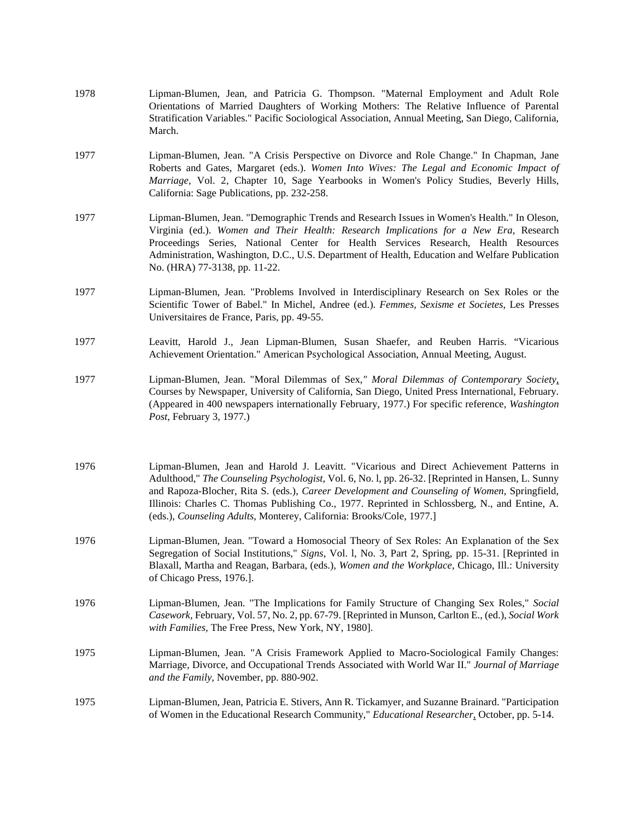| 1978 | Lipman-Blumen, Jean, and Patricia G. Thompson. "Maternal Employment and Adult Role<br>Orientations of Married Daughters of Working Mothers: The Relative Influence of Parental<br>Stratification Variables." Pacific Sociological Association, Annual Meeting, San Diego, California,<br>March.                                                                                                                                                                         |
|------|-------------------------------------------------------------------------------------------------------------------------------------------------------------------------------------------------------------------------------------------------------------------------------------------------------------------------------------------------------------------------------------------------------------------------------------------------------------------------|
| 1977 | Lipman-Blumen, Jean. "A Crisis Perspective on Divorce and Role Change." In Chapman, Jane<br>Roberts and Gates, Margaret (eds.). Women Into Wives: The Legal and Economic Impact of<br>Marriage, Vol. 2, Chapter 10, Sage Yearbooks in Women's Policy Studies, Beverly Hills,<br>California: Sage Publications, pp. 232-258.                                                                                                                                             |
| 1977 | Lipman-Blumen, Jean. "Demographic Trends and Research Issues in Women's Health." In Oleson,<br>Virginia (ed.). Women and Their Health: Research Implications for a New Era, Research<br>Proceedings Series, National Center for Health Services Research, Health Resources<br>Administration, Washington, D.C., U.S. Department of Health, Education and Welfare Publication<br>No. (HRA) 77-3138, pp. 11-22.                                                           |
| 1977 | Lipman-Blumen, Jean. "Problems Involved in Interdisciplinary Research on Sex Roles or the<br>Scientific Tower of Babel." In Michel, Andree (ed.). Femmes, Sexisme et Societes, Les Presses<br>Universitaires de France, Paris, pp. 49-55.                                                                                                                                                                                                                               |
| 1977 | Leavitt, Harold J., Jean Lipman-Blumen, Susan Shaefer, and Reuben Harris. "Vicarious<br>Achievement Orientation." American Psychological Association, Annual Meeting, August.                                                                                                                                                                                                                                                                                           |
| 1977 | Lipman-Blumen, Jean. "Moral Dilemmas of Sex," Moral Dilemmas of Contemporary Society,<br>Courses by Newspaper, University of California, San Diego, United Press International, February.<br>(Appeared in 400 newspapers internationally February, 1977.) For specific reference, Washington<br>Post, February 3, 1977.)                                                                                                                                                |
| 1976 | Lipman-Blumen, Jean and Harold J. Leavitt. "Vicarious and Direct Achievement Patterns in<br>Adulthood," The Counseling Psychologist, Vol. 6, No. 1, pp. 26-32. [Reprinted in Hansen, L. Sunny<br>and Rapoza-Blocher, Rita S. (eds.), Career Development and Counseling of Women, Springfield,<br>Illinois: Charles C. Thomas Publishing Co., 1977. Reprinted in Schlossberg, N., and Entine, A.<br>(eds.), Counseling Adults, Monterey, California: Brooks/Cole, 1977.] |
| 1976 | Lipman-Blumen, Jean. "Toward a Homosocial Theory of Sex Roles: An Explanation of the Sex<br>Segregation of Social Institutions," Signs, Vol. 1, No. 3, Part 2, Spring, pp. 15-31. [Reprinted in<br>Blaxall, Martha and Reagan, Barbara, (eds.), Women and the Workplace, Chicago, Ill.: University<br>of Chicago Press, 1976.].                                                                                                                                         |
| 1976 | Lipman-Blumen, Jean. "The Implications for Family Structure of Changing Sex Roles," Social<br>Casework, February, Vol. 57, No. 2, pp. 67-79. [Reprinted in Munson, Carlton E., (ed.), Social Work<br>with Families, The Free Press, New York, NY, 1980].                                                                                                                                                                                                                |
| 1975 | Lipman-Blumen, Jean. "A Crisis Framework Applied to Macro-Sociological Family Changes:<br>Marriage, Divorce, and Occupational Trends Associated with World War II." Journal of Marriage<br>and the Family, November, pp. 880-902.                                                                                                                                                                                                                                       |
| 1975 | Lipman-Blumen, Jean, Patricia E. Stivers, Ann R. Tickamyer, and Suzanne Brainard. "Participation<br>of Women in the Educational Research Community," Educational Researcher, October, pp. 5-14.                                                                                                                                                                                                                                                                         |